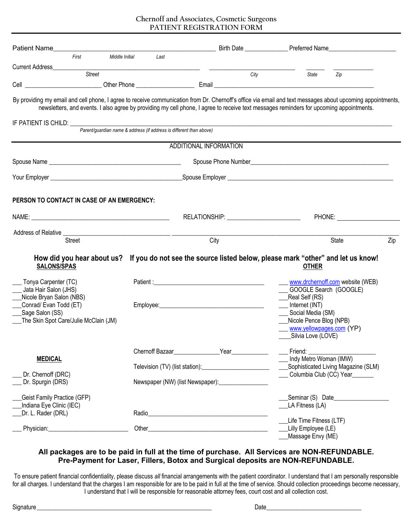| <b>Patient Name</b>                                                                                                                                                                                                                                                                                   |                                                                                                                                                                                                                                    |                                           |      |                                                                                                                                                                          | and a set of the Birth Date <b>Exercise Contract Contract Contract Contract Contract Contract Contract Contract Contract Contract Contract Contract Contract Contract Contract Contract Contract Contract Contract Contract Cont</b> |
|-------------------------------------------------------------------------------------------------------------------------------------------------------------------------------------------------------------------------------------------------------------------------------------------------------|------------------------------------------------------------------------------------------------------------------------------------------------------------------------------------------------------------------------------------|-------------------------------------------|------|--------------------------------------------------------------------------------------------------------------------------------------------------------------------------|--------------------------------------------------------------------------------------------------------------------------------------------------------------------------------------------------------------------------------------|
| First<br>Middle Initial                                                                                                                                                                                                                                                                               | Last                                                                                                                                                                                                                               |                                           |      |                                                                                                                                                                          |                                                                                                                                                                                                                                      |
| <b>Current Address</b>                                                                                                                                                                                                                                                                                |                                                                                                                                                                                                                                    |                                           |      |                                                                                                                                                                          |                                                                                                                                                                                                                                      |
| <b>Street</b>                                                                                                                                                                                                                                                                                         |                                                                                                                                                                                                                                    |                                           | City | State                                                                                                                                                                    | Zip                                                                                                                                                                                                                                  |
|                                                                                                                                                                                                                                                                                                       |                                                                                                                                                                                                                                    |                                           |      |                                                                                                                                                                          |                                                                                                                                                                                                                                      |
| By providing my email and cell phone, I agree to receive communication from Dr. Chernoff's office via email and text messages about upcoming appointments,<br>newsletters, and events. I also agree by providing my cell phone, I agree to receive text messages reminders for upcoming appointments. |                                                                                                                                                                                                                                    |                                           |      |                                                                                                                                                                          |                                                                                                                                                                                                                                      |
| IF PATIENT IS CHILD: ____                                                                                                                                                                                                                                                                             | Parent/guardian name & address (if address is different than above)                                                                                                                                                                |                                           |      |                                                                                                                                                                          |                                                                                                                                                                                                                                      |
|                                                                                                                                                                                                                                                                                                       |                                                                                                                                                                                                                                    | ADDITIONAL INFORMATION                    |      |                                                                                                                                                                          |                                                                                                                                                                                                                                      |
|                                                                                                                                                                                                                                                                                                       |                                                                                                                                                                                                                                    |                                           |      |                                                                                                                                                                          |                                                                                                                                                                                                                                      |
|                                                                                                                                                                                                                                                                                                       |                                                                                                                                                                                                                                    |                                           |      |                                                                                                                                                                          |                                                                                                                                                                                                                                      |
|                                                                                                                                                                                                                                                                                                       |                                                                                                                                                                                                                                    |                                           |      |                                                                                                                                                                          |                                                                                                                                                                                                                                      |
| PERSON TO CONTACT IN CASE OF AN EMERGENCY:                                                                                                                                                                                                                                                            |                                                                                                                                                                                                                                    |                                           |      |                                                                                                                                                                          |                                                                                                                                                                                                                                      |
|                                                                                                                                                                                                                                                                                                       |                                                                                                                                                                                                                                    | RELATIONSHIP: ___________________________ |      |                                                                                                                                                                          | <b>PHONE:</b>                                                                                                                                                                                                                        |
|                                                                                                                                                                                                                                                                                                       |                                                                                                                                                                                                                                    |                                           |      |                                                                                                                                                                          |                                                                                                                                                                                                                                      |
| <b>Street</b>                                                                                                                                                                                                                                                                                         |                                                                                                                                                                                                                                    | City                                      |      |                                                                                                                                                                          | State<br>Zip                                                                                                                                                                                                                         |
| How did you hear about us? If you do not see the source listed below, please mark "other" and let us know!<br><b>SALONS/SPAS</b>                                                                                                                                                                      |                                                                                                                                                                                                                                    |                                           |      | <b>OTHER</b>                                                                                                                                                             |                                                                                                                                                                                                                                      |
| Tonya Carpenter (TC)                                                                                                                                                                                                                                                                                  |                                                                                                                                                                                                                                    |                                           |      | www.drchernoff.com website (WEB)                                                                                                                                         |                                                                                                                                                                                                                                      |
| Jata Hair Salon (JHS)<br>Nicole Bryan Salon (NBS)<br>Conrad/ Evan Todd (ET)<br>Sage Salon (SS)<br>The Skin Spot Care/Julie McClain (JM)                                                                                                                                                               | Employee: Note: Note: Note: Note: Note: Note: Note: Note: Note: Note: Note: Note: Note: Note: Note: Note: Note: Note: Note: Note: Note: Note: Note: Note: Note: Note: Note: Note: Note: Note: Note: Note: Note: Note: Note: No     |                                           |      | ___ GOOGLE Search (GOOGLE)<br>__Real Self (RS)<br>__ Internet (INT)<br>__ Social Media (SM)<br>Nicole Pence Blog (NPB)<br>www.yellowpages.com (YP)<br>Silvia Love (LOVE) |                                                                                                                                                                                                                                      |
|                                                                                                                                                                                                                                                                                                       | Chernoff Bazaar                                                                                                                                                                                                                    | <b>Example 2</b> Year                     |      | Friend:                                                                                                                                                                  |                                                                                                                                                                                                                                      |
| <b>MEDICAL</b>                                                                                                                                                                                                                                                                                        |                                                                                                                                                                                                                                    |                                           |      | Indy Metro Woman (IMW)                                                                                                                                                   | Sophisticated Living Magazine (SLM)                                                                                                                                                                                                  |
| Dr. Chernoff (DRC)<br>Dr. Spurgin (DRS)                                                                                                                                                                                                                                                               |                                                                                                                                                                                                                                    |                                           |      | Columbia Club (CC) Year                                                                                                                                                  |                                                                                                                                                                                                                                      |
| <b>Geist Family Practice (GFP)</b>                                                                                                                                                                                                                                                                    |                                                                                                                                                                                                                                    |                                           |      |                                                                                                                                                                          | Seminar (S) Date                                                                                                                                                                                                                     |
| Indiana Eye Clinic (IEC)                                                                                                                                                                                                                                                                              |                                                                                                                                                                                                                                    |                                           |      | LA Fitness (LA)                                                                                                                                                          |                                                                                                                                                                                                                                      |
| Dr. L. Rader (DRL)                                                                                                                                                                                                                                                                                    | Radio <b>Radio Radio Accessory and Access and Access and Access and Access and Access and Access and Access and Access and Access and Access and Access and Access and Access and Access and Access and Access and Access and </b> |                                           |      | Life Time Fitness (LTF)<br>Lilly Employee (LE)                                                                                                                           |                                                                                                                                                                                                                                      |
|                                                                                                                                                                                                                                                                                                       |                                                                                                                                                                                                                                    |                                           |      | Massage Envy (ME)                                                                                                                                                        |                                                                                                                                                                                                                                      |

## **All packages are to be paid in full at the time of purchase. All Services are NON-REFUNDABLE. Pre-Payment for Laser, Fillers, Botox and Surgical deposits are NON-REFUNDABLE.**

To ensure patient financial confidentiality, please discuss *all* financial arrangements with the patient coordinator. I understand that I am personally responsible for all charges. I understand that the charges I am responsible for are to be paid in full at the time of service. Should collection proceedings become necessary, I understand that I will be responsible for reasonable attorney fees, court cost and all collection cost.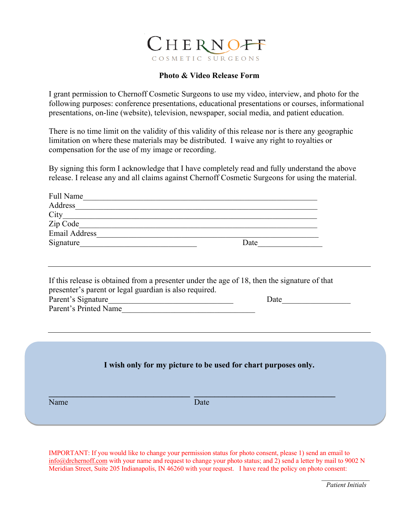

## **Photo & Video Release Form**

I grant permission to Chernoff Cosmetic Surgeons to use my video, interview, and photo for the following purposes: conference presentations, educational presentations or courses, informational presentations, on-line (website), television, newspaper, social media, and patient education.

There is no time limit on the validity of this validity of this release nor is there any geographic limitation on where these materials may be distributed. I waive any right to royalties or compensation for the use of my image or recording.

By signing this form I acknowledge that I have completely read and fully understand the above release. I release any and all claims against Chernoff Cosmetic Surgeons for using the material.

| Full Name                                                                                                                                                                                             |                                                                        |
|-------------------------------------------------------------------------------------------------------------------------------------------------------------------------------------------------------|------------------------------------------------------------------------|
| Address                                                                                                                                                                                               |                                                                        |
|                                                                                                                                                                                                       |                                                                        |
|                                                                                                                                                                                                       |                                                                        |
|                                                                                                                                                                                                       |                                                                        |
|                                                                                                                                                                                                       | Date                                                                   |
|                                                                                                                                                                                                       |                                                                        |
| If this release is obtained from a presenter under the age of 18, then the signature of that<br>presenter's parent or legal guardian is also required.<br>Parent's Signature<br>Parent's Printed Name | Date                                                                   |
| Name                                                                                                                                                                                                  | I wish only for my picture to be used for chart purposes only.<br>Date |
|                                                                                                                                                                                                       |                                                                        |

IMPORTANT: If you would like to change your permission status for photo consent, please 1) send an email to info@drchernoff.com with your name and request to change your photo status; and 2) send a letter by mail to 9002 N Meridian Street, Suite 205 Indianapolis, IN 46260 with your request. I have read the policy on photo consent: *\_\_\_\_\_\_\_\_\_\_\_\_\_*

 *Patient Initials*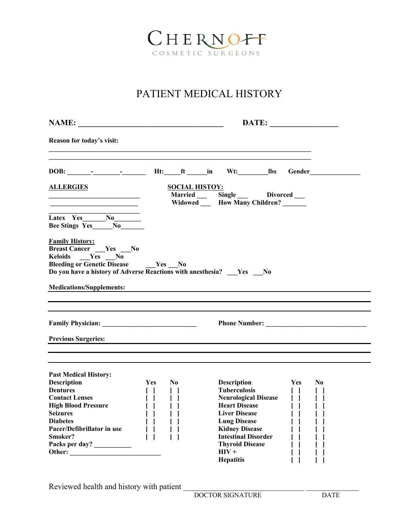

# PATIENT MEDICAL HISTORY

| NAME:                                                                                                                                                                                                        |                                      |                                    |                                                                                                                      | DATE:                                    |                |
|--------------------------------------------------------------------------------------------------------------------------------------------------------------------------------------------------------------|--------------------------------------|------------------------------------|----------------------------------------------------------------------------------------------------------------------|------------------------------------------|----------------|
| Reason for today's visit:                                                                                                                                                                                    |                                      |                                    |                                                                                                                      |                                          |                |
|                                                                                                                                                                                                              |                                      |                                    | Ht:_____ft _______in Wt:_____________lbs                                                                             |                                          |                |
| <b>ALLERGIES</b><br><u> 1989 - Johann Barbara, martxa alemaniar a</u>                                                                                                                                        |                                      | <b>SOCIAL HISTOY:</b>              | Married Single Divorced —<br>Widowed How Many Children?                                                              |                                          |                |
| Bee Stings Yes_____No____                                                                                                                                                                                    |                                      |                                    |                                                                                                                      |                                          |                |
| <b>Family History:</b><br><b>Breast Cancer</b> __ Yes __ No<br>Keloids __Yes __No<br><b>Bleeding or Genetic Disease</b> Yes No<br>Do you have a history of Adverse Reactions with anesthesia? ___ Yes ___ No |                                      |                                    |                                                                                                                      |                                          |                |
| <b>Medications/Supplements:</b>                                                                                                                                                                              |                                      |                                    | <u> Alexandria de la contrada de la contrada de la contrada de la contrada de la contrada de la contrada de la c</u> |                                          |                |
|                                                                                                                                                                                                              |                                      |                                    |                                                                                                                      |                                          |                |
| <b>Previous Surgeries:</b>                                                                                                                                                                                   |                                      |                                    |                                                                                                                      |                                          |                |
| <b>Past Medical History:</b>                                                                                                                                                                                 |                                      |                                    |                                                                                                                      |                                          |                |
| <b>Description</b><br><b>Dentures</b>                                                                                                                                                                        | <b>Yes</b><br>$\Box$<br>$\mathsf{L}$ | N <sub>0</sub><br>$\Box$<br>$\Box$ | <b>Description</b><br><b>Tuberculosis</b><br><b>Neurological Disease</b><br><b>Heart Disease</b>                     | <b>Yes</b><br>$\Box$<br>$\Box$<br>$\Box$ | N <sub>0</sub> |

Reviewed health and history with patient \_\_\_\_\_\_\_\_\_\_\_\_\_\_\_\_\_\_\_\_\_\_\_\_\_\_\_\_\_\_ \_\_\_\_\_\_\_\_\_\_\_\_\_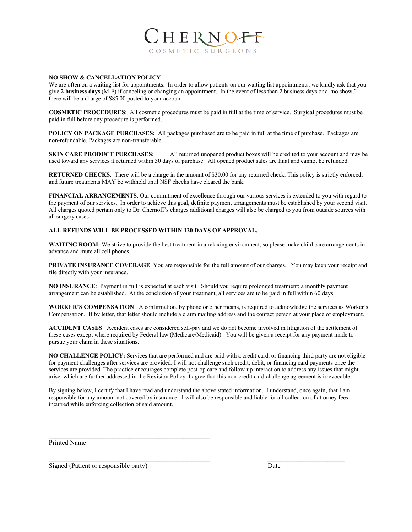

#### **NO SHOW & CANCELLATION POLICY**

We are often on a waiting list for appointments. In order to allow patients on our waiting list appointments, we kindly ask that you give **2 business days** (M-F) if canceling or changing an appointment. In the event of less than 2 business days or a "no show," there will be a charge of \$85.00 posted to your account.

**COSMETIC PROCEDURES**: All cosmetic procedures must be paid in full at the time of service. Surgical procedures must be paid in full before any procedure is performed.

**POLICY ON PACKAGE PURCHASES:** All packages purchased are to be paid in full at the time of purchase. Packages are non-refundable. Packages are non-transferable.

**SKIN CARE PRODUCT PURCHASES:** All returned unopened product boxes will be credited to your account and may be used toward any services if returned within 30 days of purchase. All opened product sales are final and cannot be refunded.

**RETURNED CHECKS:** There will be a charge in the amount of \$30.00 for any returned check. This policy is strictly enforced, and future treatments MAY be withheld until NSF checks have cleared the bank.

**FINANCIAL ARRANGEMENTS**: Our commitment of excellence through our various services is extended to you with regard to the payment of our services. In order to achieve this goal, definite payment arrangements must be established by your second visit. All charges quoted pertain only to Dr. Chernoff's charges additional charges will also be charged to you from outside sources with all surgery cases.

#### **ALL REFUNDS WILL BE PROCESSED WITHIN 120 DAYS OF APPROVAL.**

WAITING ROOM: We strive to provide the best treatment in a relaxing environment, so please make child care arrangements in advance and mute all cell phones.

**PRIVATE INSURANCE COVERAGE**: You are responsible for the full amount of our charges. You may keep your receipt and file directly with your insurance.

**NO INSURANCE**: Payment in full is expected at each visit. Should you require prolonged treatment; a monthly payment arrangement can be established. At the conclusion of your treatment, all services are to be paid in full within 60 days.

**WORKER'S COMPENSATION**: A confirmation, by phone or other means, is required to acknowledge the services as Worker's Compensation. If by letter, that letter should include a claim mailing address and the contact person at your place of employment.

**ACCIDENT CASES**: Accident cases are considered self-pay and we do not become involved in litigation of the settlement of these cases except where required by Federal law (Medicare/Medicaid). You will be given a receipt for any payment made to pursue your claim in these situations.

**NO CHALLENGE POLICY:** Services that are performed and are paid with a credit card, or financing third party are not eligible for payment challenges after services are provided. I will not challenge such credit, debit, or financing card payments once the services are provided. The practice encourages complete post-op care and follow-up interaction to address any issues that might arise, which are further addressed in the Revision Policy. I agree that this non-credit card challenge agreement is irrevocable.

By signing below, I certify that I have read and understand the above stated information. I understand, once again, that I am responsible for any amount not covered by insurance. I will also be responsible and liable for all collection of attorney fees incurred while enforcing collection of said amount.

Printed Name

Signed (Patient or responsible party) Date